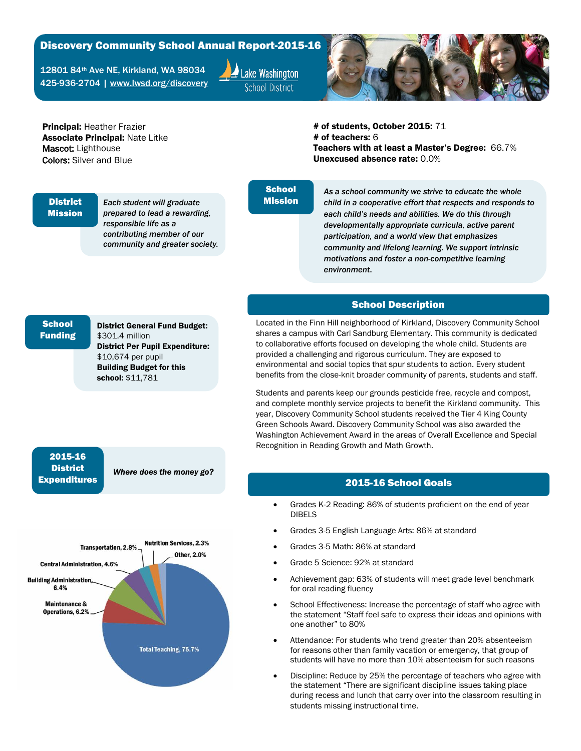### Discovery Community School Annual Report-2015-16

12801 84th Ave NE, Kirkland, WA 98034 425-936-2704 | [www.lwsd.org/discovery](http://www.lwsd.org/discovery)





Principal: Heather Frazier Associate Principal: Nate Litke Mascot: Lighthouse Colors: Silver and Blue

# of students, October 2015: 71 # of teachers: 6 Teachers with at least a Master's Degree: 66.7% Unexcused absence rate: 0.0%

#### **District** Mission

*Each student will graduate prepared to lead a rewarding, responsible life as a contributing member of our community and greater society.*

# **School** Mission

*As a school community we strive to educate the whole child in a cooperative effort that respects and responds to each child's needs and abilities. We do this through developmentally appropriate curricula, active parent participation, and a world view that emphasizes community and lifelong learning. We support intrinsic motivations and foster a non-competitive learning environment*.

# School Description

Located in the Finn Hill neighborhood of Kirkland, Discovery Community School shares a campus with Carl Sandburg Elementary. This community is dedicated to collaborative efforts focused on developing the whole child. Students are provided a challenging and rigorous curriculum. They are exposed to environmental and social topics that spur students to action. Every student benefits from the close-knit broader community of parents, students and staff.

Students and parents keep our grounds pesticide free, recycle and compost, and complete monthly service projects to benefit the Kirkland community. This year, Discovery Community School students received the Tier 4 King County Green Schools Award. Discovery Community School was also awarded the Washington Achievement Award in the areas of Overall Excellence and Special Recognition in Reading Growth and Math Growth.

## 2015-16 School Goals

- Grades K-2 Reading: 86% of students proficient on the end of year DIBELS
- Grades 3-5 English Language Arts: 86% at standard
- Grades 3-5 Math: 86% at standard
- Grade 5 Science: 92% at standard
- Achievement gap: 63% of students will meet grade level benchmark for oral reading fluency
- School Effectiveness: Increase the percentage of staff who agree with the statement "Staff feel safe to express their ideas and opinions with one another" to 80%
- Attendance: For students who trend greater than 20% absenteeism for reasons other than family vacation or emergency, that group of students will have no more than 10% absenteeism for such reasons
- Discipline: Reduce by 25% the percentage of teachers who agree with the statement "There are significant discipline issues taking place during recess and lunch that carry over into the classroom resulting in students missing instructional time.

# **School** Funding

District General Fund Budget: \$301.4 million District Per Pupil Expenditure: \$10,674 per pupil Building Budget for this school: \$11,781

# 2015-16 **District** Expenditures

*Where does the money go?*